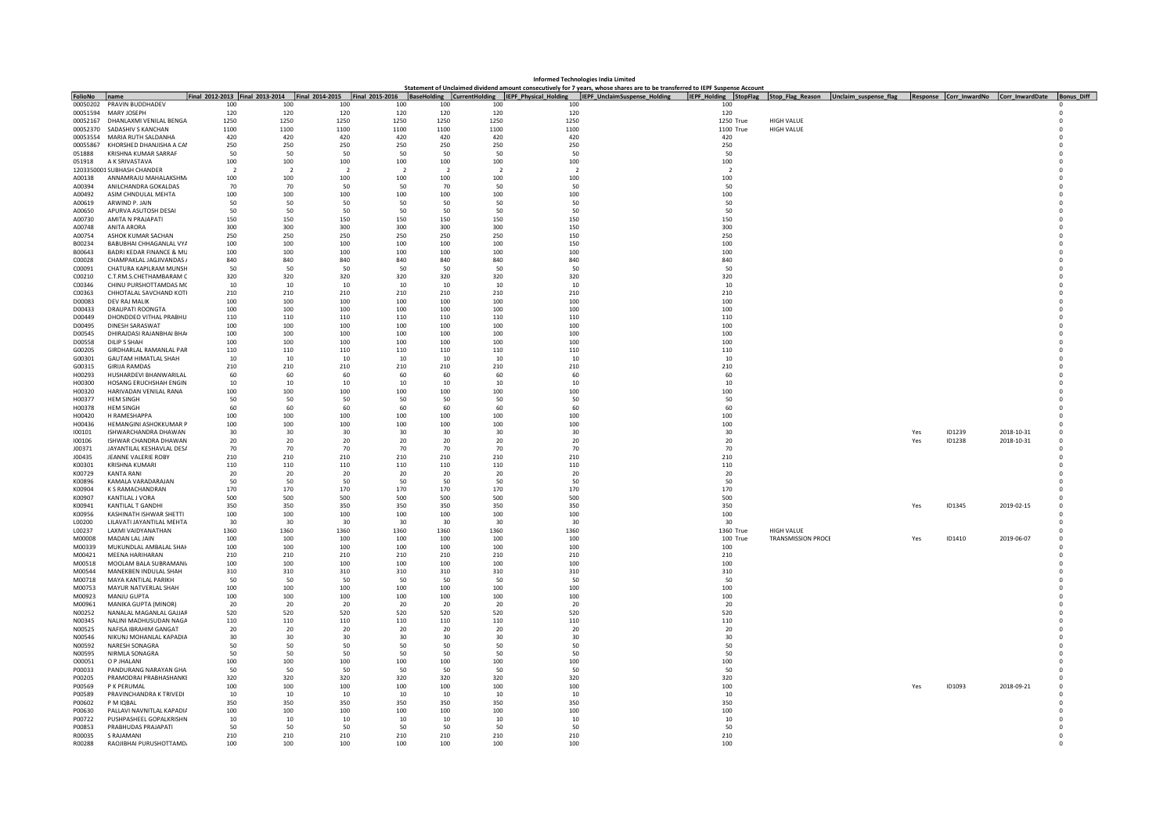| Informed Technologies India Limited<br>Statement of Unclaimed dividend amount consecutively for 7 years, whose shares are to be transferred to IEPF Suspense Account |                                                    |                |                          |                |                |                          |                |                                                                                                                                               |                                                              |                           |  |     |        |                                        |            |
|----------------------------------------------------------------------------------------------------------------------------------------------------------------------|----------------------------------------------------|----------------|--------------------------|----------------|----------------|--------------------------|----------------|-----------------------------------------------------------------------------------------------------------------------------------------------|--------------------------------------------------------------|---------------------------|--|-----|--------|----------------------------------------|------------|
|                                                                                                                                                                      | Iname                                              |                |                          |                |                |                          |                | Final 2012-2013 Final 2013-2014 Final 2014-2015 Final 2015-2016 BaseHolding CurrentHolding IEPF_Physical_Holding IEPF_UnclaimSuspense_Holding | IEPF_Holding StopFlag Stop_Flag_Reason Unclaim_suspense_flag |                           |  |     |        | Response Corr_InwardNo Corr_InwardDate | Bonus Diff |
| <b>FolioNo</b><br>00050202                                                                                                                                           | PRAVIN BUDDHADEV                                   | 100            | 100                      | 100            | 100            | 100                      | 100            | 100                                                                                                                                           | 100                                                          |                           |  |     |        |                                        |            |
| 00051594                                                                                                                                                             | MARY JOSEPH                                        | 120            | 120                      | 120            | 120            | 120                      | 120            | 120                                                                                                                                           | 120                                                          |                           |  |     |        |                                        |            |
| 00052167                                                                                                                                                             | DHANLAXMI VENILAL BENGA                            | 1250           | 1250                     | 1250           | 1250           | 1250                     | 1250           | 1250                                                                                                                                          | 1250 True                                                    | <b>HIGH VALUE</b>         |  |     |        |                                        |            |
| 00052370                                                                                                                                                             | SADASHIV S KANCHAN                                 | 1100           | 1100                     | 1100           | 1100           | 1100                     | 1100           | 1100                                                                                                                                          | 1100 True                                                    | <b>HIGH VALUE</b>         |  |     |        |                                        |            |
| 00053554                                                                                                                                                             | MARIA RUTH SALDANHA                                | 420            | 420                      | 420            | 420            | 420                      | 420            | 420                                                                                                                                           | 420                                                          |                           |  |     |        |                                        |            |
| 00055867                                                                                                                                                             | KHORSHED DHANJISHA A CAI                           | 250            | 250                      | 250            | 250            | 250                      | 250            | 250                                                                                                                                           | 250                                                          |                           |  |     |        |                                        |            |
| 051888                                                                                                                                                               | <b>KRISHNA KUMAR SARRAF</b>                        | 50             | 50                       | 50             | 50             | 50                       | 50             | 50                                                                                                                                            | 50                                                           |                           |  |     |        |                                        |            |
| 051918                                                                                                                                                               | A K SRIVASTAVA                                     | 100            | 100                      | 100            | 100            | 100                      | 100            | 100                                                                                                                                           | 100                                                          |                           |  |     |        |                                        |            |
|                                                                                                                                                                      | 1203350001 SUBHASH CHANDER                         | $\overline{2}$ | $\overline{\phantom{a}}$ | $\overline{2}$ | $\overline{2}$ | $\overline{\phantom{a}}$ | $\overline{2}$ | $\overline{2}$                                                                                                                                | $\overline{2}$                                               |                           |  |     |        |                                        |            |
| A00138                                                                                                                                                               | ANNAMRAILI MAHAI AKSHM                             | 100            | 100                      | 100            | 100            | 100                      | 100            | 100                                                                                                                                           | 100                                                          |                           |  |     |        |                                        |            |
| A00394                                                                                                                                                               | ANILCHANDRA GOKALDAS                               | 70             | 70                       | 50             | 50             | 70                       | 50             | 50                                                                                                                                            | 50                                                           |                           |  |     |        |                                        |            |
| A00492                                                                                                                                                               | ASIM CHNDULAL MEHTA                                | 100            | 100                      | 100            | 100            | 100                      | 100            | 100                                                                                                                                           | 100                                                          |                           |  |     |        |                                        |            |
| A00619                                                                                                                                                               | ARWIND P. IAIN                                     | 50             | 50                       | 50             | 50             | -50                      | 50             | 50                                                                                                                                            | -50                                                          |                           |  |     |        |                                        |            |
| A00650                                                                                                                                                               | APURVA ASUTOSH DESAI                               | 50             | 50                       | 50             | 50             | 50                       | 50             | 50                                                                                                                                            | 50                                                           |                           |  |     |        |                                        |            |
| A00730                                                                                                                                                               | <b>AMITA N PRAIAPATI</b>                           | 150            | 150                      | 150            | 150            | 150                      | 150            | 150                                                                                                                                           | 150                                                          |                           |  |     |        |                                        |            |
| A00748                                                                                                                                                               | <b>ANITA ARORA</b>                                 | 300            | 300                      | 300            | 300            | 300                      | 300            | 150                                                                                                                                           | 300                                                          |                           |  |     |        |                                        |            |
| A00754                                                                                                                                                               | ASHOK KUMAR SACHAN                                 | 250            | 250                      | 250            | 250            | 250                      | 250            | 150                                                                                                                                           | 250                                                          |                           |  |     |        |                                        |            |
| B00234                                                                                                                                                               | BABUBHAI CHHAGANLAL VYA                            | 100            | 100                      | 100            | 100            | 100                      | 100            | 150                                                                                                                                           | 100                                                          |                           |  |     |        |                                        |            |
| B00643                                                                                                                                                               | <b>BADRI KEDAR FINANCE &amp; ML</b>                | 100            | 100                      | 100            | 100            | 100                      | 100            | 100                                                                                                                                           | 100                                                          |                           |  |     |        |                                        |            |
| C00028<br>C00091                                                                                                                                                     | CHAMPAKLAL JAGJIVANDAS /<br>CHATURA KAPILRAM MUNSH | 840<br>50      | 840<br>50                | 840<br>50      | 840<br>50      | 840<br>50                | 840<br>50      | 840<br>50                                                                                                                                     | 840<br>50                                                    |                           |  |     |        |                                        |            |
| C00210                                                                                                                                                               | C.T.RM.S.CHETHAMBARAM C                            | 320            | 320                      | 320            | 320            | 320                      | 320            | 320                                                                                                                                           | 320                                                          |                           |  |     |        |                                        |            |
| C00346                                                                                                                                                               | CHINU PURSHOTTAMDAS M(                             | 10             | 10                       | 10             | 10             | 10                       | 10             | 10                                                                                                                                            | 10                                                           |                           |  |     |        |                                        |            |
| C00363                                                                                                                                                               | CHHOTALAL SAVCHAND KOT                             | 210            | 210                      | 210            | 210            | 210                      | 210            | 210                                                                                                                                           | 210                                                          |                           |  |     |        |                                        |            |
| D00083                                                                                                                                                               | DEV RAJ MALIK                                      | 100            | 100                      | 100            | 100            | 100                      | 100            | 100                                                                                                                                           | 100                                                          |                           |  |     |        |                                        |            |
| D00433                                                                                                                                                               | DRAUPATI ROONGTA                                   | 100            | 100                      | 100            | 100            | 100                      | 100            | 100                                                                                                                                           | 100                                                          |                           |  |     |        |                                        |            |
| D00449                                                                                                                                                               | DHONDDEO VITHAL PRABHU                             | 110            | 110                      | 110            | 110            | 110                      | 110            | 110                                                                                                                                           | 110                                                          |                           |  |     |        |                                        |            |
| D00495                                                                                                                                                               | <b>DINESH SARASWAT</b>                             | 100            | 100                      | 100            | 100            | 100                      | 100            | 100                                                                                                                                           | 100                                                          |                           |  |     |        |                                        |            |
| D00545                                                                                                                                                               | DHIRAJDASI RAJANBHAI BHA                           | 100            | 100                      | 100            | 100            | 100                      | 100            | 100                                                                                                                                           | 100                                                          |                           |  |     |        |                                        |            |
| D00558                                                                                                                                                               | DILIP S SHAH                                       | 100            | 100                      | 100            | 100            | 100                      | 100            | 100                                                                                                                                           | 100                                                          |                           |  |     |        |                                        |            |
| G00205                                                                                                                                                               | GIRDHARLAL RAMANLAL PAF                            | 110            | 110                      | 110            | 110            | 110                      | 110            | 110                                                                                                                                           | 110                                                          |                           |  |     |        |                                        |            |
| G00301                                                                                                                                                               | <b>GAUTAM HIMATLAL SHAH</b>                        | 10             | 10                       | 10             | 10             | 10                       | 10             | 10                                                                                                                                            | 10                                                           |                           |  |     |        |                                        |            |
| G00315                                                                                                                                                               | <b>GIRIJA RAMDAS</b>                               | 210            | 210                      | 210            | 210            | 210                      | 210            | 210                                                                                                                                           | 210                                                          |                           |  |     |        |                                        |            |
| H00293                                                                                                                                                               | HUSHARDEVI BHANWARILAL                             | 60             | 60                       | 60             | 60             | 60                       | 60             | 60                                                                                                                                            | 60                                                           |                           |  |     |        |                                        |            |
| H00300                                                                                                                                                               | <b>HOSANG ERUCHSHAH ENGIN</b>                      | 10             | 10                       | 10             | 10             | 10                       | 10             | 10                                                                                                                                            | 10                                                           |                           |  |     |        |                                        |            |
| H00320                                                                                                                                                               | HARIVADAN VENILAL RANA                             | 100            | 100                      | 100            | 100            | 100                      | 100            | 100                                                                                                                                           | 100                                                          |                           |  |     |        |                                        |            |
| H00377                                                                                                                                                               | <b>HEM SINGH</b>                                   | 50             | 50                       | 50             | 50             | 50                       | 50             | 50                                                                                                                                            | 50                                                           |                           |  |     |        |                                        |            |
| H00378                                                                                                                                                               | <b>HFM SINGH</b>                                   | 60             | 60                       | 60             | 60             | 60                       | 60             | 60                                                                                                                                            | 60                                                           |                           |  |     |        |                                        |            |
| H00420                                                                                                                                                               | H RAMESHAPPA                                       | 100            | 100                      | 100            | 100            | 100                      | 100            | 100                                                                                                                                           | 100                                                          |                           |  |     |        |                                        |            |
| H00436                                                                                                                                                               | <b>HEMANGINI ASHOKKUMAR F</b>                      | 100            | 100                      | 100            | 100            | 100                      | 100            | 100                                                                                                                                           | 100                                                          |                           |  |     |        |                                        |            |
| 100101                                                                                                                                                               | ISHWARCHANDRA DHAWAN                               | 30             | 30                       | 30             | 30             | 30                       | 30             | 30                                                                                                                                            | 30                                                           |                           |  | Yes | ID1239 | 2018-10-31                             |            |
| 100106                                                                                                                                                               | ISHWAR CHANDRA DHAWAN                              | 20             | 20                       | 20             | 20             | 20                       | 20             | 20                                                                                                                                            | 20                                                           |                           |  | Yes | ID1238 | 2018-10-31                             |            |
| J00371                                                                                                                                                               | JAYANTILAL KESHAVLAL DESA                          | 70             | 70                       | 70             | 70             | 70                       | 70             | 70                                                                                                                                            | 70                                                           |                           |  |     |        |                                        |            |
| 100435                                                                                                                                                               | <b>IFANNE VALERIE ROBY</b>                         | 210            | 210                      | 210            | 210            | 210                      | 210            | 210                                                                                                                                           | 210                                                          |                           |  |     |        |                                        |            |
| K00301                                                                                                                                                               | <b>KRISHNA KUMAR</b>                               | 110            | 110                      | 110            | 110            | 110                      | 110            | 110                                                                                                                                           | 110                                                          |                           |  |     |        |                                        |            |
| K00729<br>K00896                                                                                                                                                     | <b>KANTA RANI</b><br>KAMALA VARADARAJAN            | 20<br>50       | 20<br>50                 | 20<br>50       | 20<br>50       | -20<br>50                | 20<br>50       | 20<br>50                                                                                                                                      | 20<br>50                                                     |                           |  |     |        |                                        |            |
| K00904                                                                                                                                                               | K S RAMACHANDRAN                                   | 170            | 170                      | 170            | 170            | 170                      | 170            | 170                                                                                                                                           | 170                                                          |                           |  |     |        |                                        |            |
| K00907                                                                                                                                                               | KANTILAI I VORA                                    | 500            | 500                      | 500            | 500            | 500                      | 500            | 500                                                                                                                                           | 500                                                          |                           |  |     |        |                                        |            |
| K00941                                                                                                                                                               | KANTILAL T GANDHI                                  | 350            | 350                      | 350            | 350            | 350                      | 350            | 350                                                                                                                                           | 350                                                          |                           |  | Yes | ID1345 | 2019-02-15                             |            |
| K00956                                                                                                                                                               | KASHINATH ISHWAR SHETTI                            | 100            | 100                      | 100            | 100            | 100                      | 100            | 100                                                                                                                                           | 100                                                          |                           |  |     |        |                                        |            |
| 100200                                                                                                                                                               | <b>I II AVATI IAYANTII AI MFHTA</b>                | 30             | 30                       | 30             | -30            | 30                       | -30            | 30                                                                                                                                            | -30                                                          |                           |  |     |        |                                        |            |
| L00237                                                                                                                                                               | LAXMI VAIDYANATHAN                                 | 1360           | 1360                     | 1360           | 1360           | 1360                     | 1360           | 1360                                                                                                                                          | 1360 True                                                    | HIGH VALUE                |  |     |        |                                        |            |
| M00008                                                                                                                                                               | MADAN LAL JAIN                                     | 100            | 100                      | 100            | 100            | 100                      | 100            | 100                                                                                                                                           | 100 True                                                     | <b>TRANSMISSION PROCE</b> |  | Yes | ID1410 | 2019-06-07                             |            |
| M00339                                                                                                                                                               | MUKUNDLAL AMBALAL SHAI                             | 100            | 100                      | 100            | 100            | 100                      | 100            | 100                                                                                                                                           | 100                                                          |                           |  |     |        |                                        |            |
| M00421                                                                                                                                                               | MEENA HARIHARAN                                    | 210            | 210                      | 210            | 210            | 210                      | 210            | 210                                                                                                                                           | 210                                                          |                           |  |     |        |                                        |            |
| M00518                                                                                                                                                               | MOOLAM BALA SUBRAMANI                              | 100            | 100                      | 100            | 100            | 100                      | 100            | 100                                                                                                                                           | 100                                                          |                           |  |     |        |                                        |            |
| M00544                                                                                                                                                               | MANEKBEN INDUI AI SHAH                             | 310            | 310                      | 310            | 310            | 310                      | 310            | 310                                                                                                                                           | 310                                                          |                           |  |     |        |                                        |            |
| M00718                                                                                                                                                               | MAYA KANTILAL PARIKH                               | 50             | 50                       | 50             | 50             | 50                       | 50             | 50                                                                                                                                            | 50                                                           |                           |  |     |        |                                        |            |
| M00753                                                                                                                                                               | MAYUR NATVERLAL SHAH                               | 100            | 100                      | 100            | 100            | 100                      | 100            | 100                                                                                                                                           | 100                                                          |                           |  |     |        |                                        |            |
| M00923                                                                                                                                                               | MANIU GUPTA                                        | 100            | 100                      | 100            | 100            | 100                      | 100            | 100                                                                                                                                           | 100                                                          |                           |  |     |        |                                        |            |
| M00961                                                                                                                                                               | MANIKA GUPTA (MINOR)                               | 20             | 20                       | 20             | 20             | 20                       | 20             | 20                                                                                                                                            | 20                                                           |                           |  |     |        |                                        |            |
| N00252                                                                                                                                                               | NANALAI MAGANLAI GAIIAE                            | 520            | 520                      | 520            | 520            | 520                      | 520            | 520                                                                                                                                           | 520                                                          |                           |  |     |        |                                        |            |
| N00345                                                                                                                                                               | NALINI MADHUSUDAN NAGA                             | 110            | 110                      | 110            | 110            | 110                      | 110            | 110                                                                                                                                           | 110                                                          |                           |  |     |        |                                        |            |
| N00525                                                                                                                                                               | NAFISA IBRAHIM GANGAT                              | 20             | 20                       | 20             | 20             | 20                       | 20             | 20                                                                                                                                            | 20                                                           |                           |  |     |        |                                        |            |
| N00546                                                                                                                                                               | NIKUNJ MOHANLAL KAPADIA                            | 30             | 30                       | 30             | 30             | 30                       | 30             | 30                                                                                                                                            | 30                                                           |                           |  |     |        |                                        |            |
| N00592                                                                                                                                                               | NARESH SONAGRA<br>NIRMLA SONAGRA                   | 50<br>50       | 50<br>50                 | 50<br>50       | 50             | 50<br>50                 | 50             | 50<br>50                                                                                                                                      | 50<br>50                                                     |                           |  |     |        |                                        |            |
| N00595<br>000051                                                                                                                                                     | O P IHAI ANI                                       | 100            | 100                      | 100            | 50<br>100      | 100                      | 50<br>100      | 100                                                                                                                                           | 100                                                          |                           |  |     |        |                                        |            |
| P00033                                                                                                                                                               | PANDURANG NARAYAN GHA                              | 50             | 50                       | 50             | 50             | 50                       | 50             | 50                                                                                                                                            | 50                                                           |                           |  |     |        |                                        |            |
| P00205                                                                                                                                                               | PRAMODRAI PRABHASHANKI                             | 320            | 320                      | 320            | 320            | 320                      | 320            | 320                                                                                                                                           | 320                                                          |                           |  |     |        |                                        |            |
| P00569                                                                                                                                                               | P K PFRUMAL                                        | 100            | 100                      | 100            | 100            | 100                      | 100            | 100                                                                                                                                           | 100                                                          |                           |  | Yes | ID1093 | 2018-09-21                             |            |
| P00589                                                                                                                                                               | PRAVINCHANDRA K TRIVEDI                            | 10             | 10                       | 10             | 10             | 10                       | 10             | 10                                                                                                                                            | 10                                                           |                           |  |     |        |                                        |            |
| P00602                                                                                                                                                               | P M IQBAL                                          | 350            | 350                      | 350            | 350            | 350                      | 350            | 350                                                                                                                                           | 350                                                          |                           |  |     |        |                                        |            |
| P00630                                                                                                                                                               | PALLAVI NAVNITLAL KAPADI/                          | 100            | 100                      | 100            | 100            | 100                      | 100            | 100                                                                                                                                           | 100                                                          |                           |  |     |        |                                        |            |
| P00722                                                                                                                                                               | PUSHPASHEEL GOPALKRISHN                            | 10             | 10                       | 10             | 10             | 10                       | 10             | 10                                                                                                                                            | 10                                                           |                           |  |     |        |                                        |            |
| P00853                                                                                                                                                               | PRABHUDAS PRAJAPATI                                | 50             | 50                       | 50             | 50             | 50                       | 50             | 50                                                                                                                                            | 50                                                           |                           |  |     |        |                                        |            |
| R00035                                                                                                                                                               | S RAJAMANI                                         | 210            | 210                      | 210            | 210            | 210                      | 210            | 210                                                                                                                                           | 210                                                          |                           |  |     |        |                                        |            |
| R00288                                                                                                                                                               | RAOJIBHAI PURUSHOTTAMD.                            | 100            | 100                      | 100            | 100            | 100                      | 100            | 100                                                                                                                                           | 100                                                          |                           |  |     |        |                                        |            |